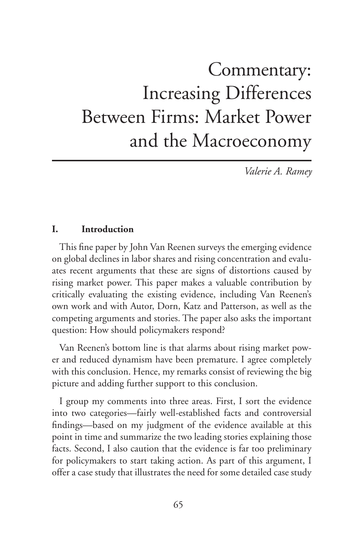# Commentary: Increasing Differences Between Firms: Market Power and the Macroeconomy

*Valerie A. Ramey*

#### **I. Introduction**

This fine paper by John Van Reenen surveys the emerging evidence on global declines in labor shares and rising concentration and evaluates recent arguments that these are signs of distortions caused by rising market power. This paper makes a valuable contribution by critically evaluating the existing evidence, including Van Reenen's own work and with Autor, Dorn, Katz and Patterson, as well as the competing arguments and stories. The paper also asks the important question: How should policymakers respond?

Van Reenen's bottom line is that alarms about rising market power and reduced dynamism have been premature. I agree completely with this conclusion. Hence, my remarks consist of reviewing the big picture and adding further support to this conclusion.

I group my comments into three areas. First, I sort the evidence into two categories—fairly well-established facts and controversial findings—based on my judgment of the evidence available at this point in time and summarize the two leading stories explaining those facts. Second, I also caution that the evidence is far too preliminary for policymakers to start taking action. As part of this argument, I offer a case study that illustrates the need for some detailed case study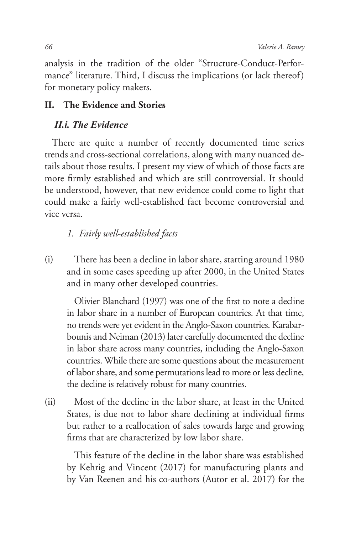analysis in the tradition of the older "Structure-Conduct-Performance" literature. Third, I discuss the implications (or lack thereof) for monetary policy makers.

## **II. The Evidence and Stories**

## *II.i. The Evidence*

There are quite a number of recently documented time series trends and cross-sectional correlations, along with many nuanced details about those results. I present my view of which of those facts are more firmly established and which are still controversial. It should be understood, however, that new evidence could come to light that could make a fairly well-established fact become controversial and vice versa.

## *1. Fairly well-established facts*

(i) There has been a decline in labor share, starting around 1980 and in some cases speeding up after 2000, in the United States and in many other developed countries.

Olivier Blanchard (1997) was one of the first to note a decline in labor share in a number of European countries. At that time, no trends were yet evident in the Anglo-Saxon countries. Karabarbounis and Neiman (2013) later carefully documented the decline in labor share across many countries, including the Anglo-Saxon countries. While there are some questions about the measurement of labor share, and some permutations lead to more or less decline, the decline is relatively robust for many countries.

(ii) Most of the decline in the labor share, at least in the United States, is due not to labor share declining at individual firms but rather to a reallocation of sales towards large and growing firms that are characterized by low labor share.

This feature of the decline in the labor share was established by Kehrig and Vincent (2017) for manufacturing plants and by Van Reenen and his co-authors (Autor et al. 2017) for the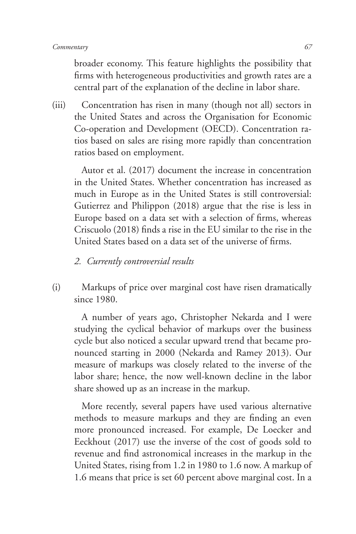broader economy. This feature highlights the possibility that firms with heterogeneous productivities and growth rates are a central part of the explanation of the decline in labor share.

(iii) Concentration has risen in many (though not all) sectors in the United States and across the Organisation for Economic Co-operation and Development (OECD). Concentration ratios based on sales are rising more rapidly than concentration ratios based on employment.

Autor et al. (2017) document the increase in concentration in the United States. Whether concentration has increased as much in Europe as in the United States is still controversial: Gutierrez and Philippon (2018) argue that the rise is less in Europe based on a data set with a selection of firms, whereas Criscuolo (2018) finds a rise in the EU similar to the rise in the United States based on a data set of the universe of firms.

- *2. Currently controversial results*
- (i) Markups of price over marginal cost have risen dramatically since 1980.

A number of years ago, Christopher Nekarda and I were studying the cyclical behavior of markups over the business cycle but also noticed a secular upward trend that became pronounced starting in 2000 (Nekarda and Ramey 2013). Our measure of markups was closely related to the inverse of the labor share; hence, the now well-known decline in the labor share showed up as an increase in the markup.

More recently, several papers have used various alternative methods to measure markups and they are finding an even more pronounced increased. For example, De Loecker and Eeckhout (2017) use the inverse of the cost of goods sold to revenue and find astronomical increases in the markup in the United States, rising from 1.2 in 1980 to 1.6 now. A markup of 1.6 means that price is set 60 percent above marginal cost. In a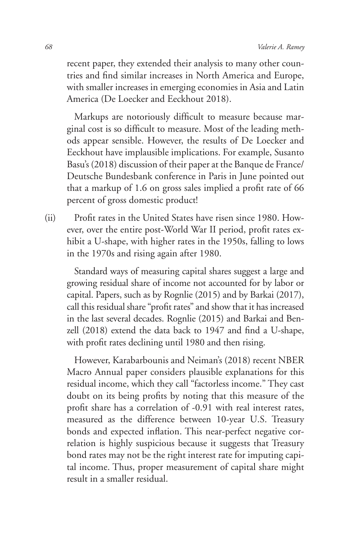recent paper, they extended their analysis to many other countries and find similar increases in North America and Europe, with smaller increases in emerging economies in Asia and Latin America (De Loecker and Eeckhout 2018).

Markups are notoriously difficult to measure because marginal cost is so difficult to measure. Most of the leading methods appear sensible. However, the results of De Loecker and Eeckhout have implausible implications. For example, Susanto Basu's (2018) discussion of their paper at the Banque de France/ Deutsche Bundesbank conference in Paris in June pointed out that a markup of 1.6 on gross sales implied a profit rate of 66 percent of gross domestic product!

(ii) Profit rates in the United States have risen since 1980. However, over the entire post-World War II period, profit rates exhibit a U-shape, with higher rates in the 1950s, falling to lows in the 1970s and rising again after 1980.

Standard ways of measuring capital shares suggest a large and growing residual share of income not accounted for by labor or capital. Papers, such as by Rognlie (2015) and by Barkai (2017), call this residual share "profit rates" and show that it has increased in the last several decades. Rognlie (2015) and Barkai and Benzell (2018) extend the data back to 1947 and find a U-shape, with profit rates declining until 1980 and then rising.

However, Karabarbounis and Neiman's (2018) recent NBER Macro Annual paper considers plausible explanations for this residual income, which they call "factorless income." They cast doubt on its being profits by noting that this measure of the profit share has a correlation of -0.91 with real interest rates, measured as the difference between 10-year U.S. Treasury bonds and expected inflation. This near-perfect negative correlation is highly suspicious because it suggests that Treasury bond rates may not be the right interest rate for imputing capital income. Thus, proper measurement of capital share might result in a smaller residual.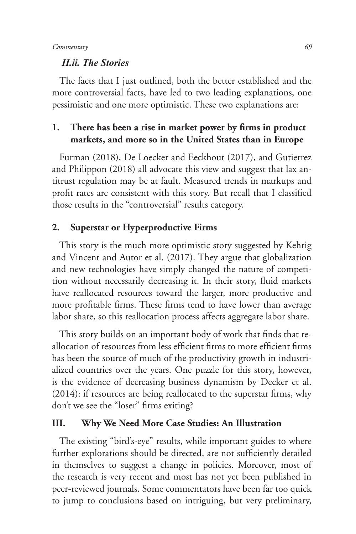#### *II.ii. The Stories*

The facts that I just outlined, both the better established and the more controversial facts, have led to two leading explanations, one pessimistic and one more optimistic. These two explanations are:

## **1. There has been a rise in market power by firms in product markets, and more so in the United States than in Europe**

Furman (2018), De Loecker and Eeckhout (2017), and Gutierrez and Philippon (2018) all advocate this view and suggest that lax antitrust regulation may be at fault. Measured trends in markups and profit rates are consistent with this story. But recall that I classified those results in the "controversial" results category.

### **2. Superstar or Hyperproductive Firms**

This story is the much more optimistic story suggested by Kehrig and Vincent and Autor et al. (2017). They argue that globalization and new technologies have simply changed the nature of competition without necessarily decreasing it. In their story, fluid markets have reallocated resources toward the larger, more productive and more profitable firms. These firms tend to have lower than average labor share, so this reallocation process affects aggregate labor share.

This story builds on an important body of work that finds that reallocation of resources from less efficient firms to more efficient firms has been the source of much of the productivity growth in industrialized countries over the years. One puzzle for this story, however, is the evidence of decreasing business dynamism by Decker et al. (2014): if resources are being reallocated to the superstar firms, why don't we see the "loser" firms exiting?

#### **III. Why We Need More Case Studies: An Illustration**

The existing "bird's-eye" results, while important guides to where further explorations should be directed, are not sufficiently detailed in themselves to suggest a change in policies. Moreover, most of the research is very recent and most has not yet been published in peer-reviewed journals. Some commentators have been far too quick to jump to conclusions based on intriguing, but very preliminary,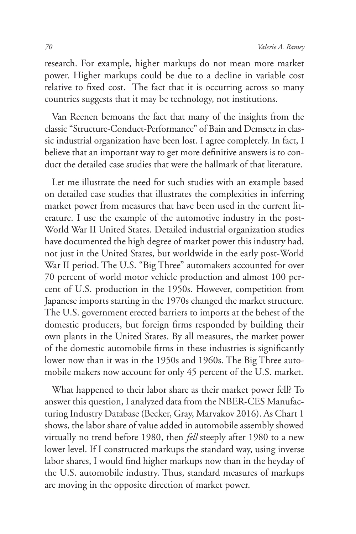research. For example, higher markups do not mean more market power. Higher markups could be due to a decline in variable cost relative to fixed cost. The fact that it is occurring across so many countries suggests that it may be technology, not institutions.

Van Reenen bemoans the fact that many of the insights from the classic "Structure-Conduct-Performance" of Bain and Demsetz in classic industrial organization have been lost. I agree completely. In fact, I believe that an important way to get more definitive answers is to conduct the detailed case studies that were the hallmark of that literature.

Let me illustrate the need for such studies with an example based on detailed case studies that illustrates the complexities in inferring market power from measures that have been used in the current literature. I use the example of the automotive industry in the post-World War II United States. Detailed industrial organization studies have documented the high degree of market power this industry had, not just in the United States, but worldwide in the early post-World War II period. The U.S. "Big Three" automakers accounted for over 70 percent of world motor vehicle production and almost 100 percent of U.S. production in the 1950s. However, competition from Japanese imports starting in the 1970s changed the market structure. The U.S. government erected barriers to imports at the behest of the domestic producers, but foreign firms responded by building their own plants in the United States. By all measures, the market power of the domestic automobile firms in these industries is significantly lower now than it was in the 1950s and 1960s. The Big Three automobile makers now account for only 45 percent of the U.S. market.

What happened to their labor share as their market power fell? To answer this question, I analyzed data from the NBER-CES Manufacturing Industry Database (Becker, Gray, Marvakov 2016). As Chart 1 shows, the labor share of value added in automobile assembly showed virtually no trend before 1980, then *fell* steeply after 1980 to a new lower level. If I constructed markups the standard way, using inverse labor shares, I would find higher markups now than in the heyday of the U.S. automobile industry. Thus, standard measures of markups are moving in the opposite direction of market power.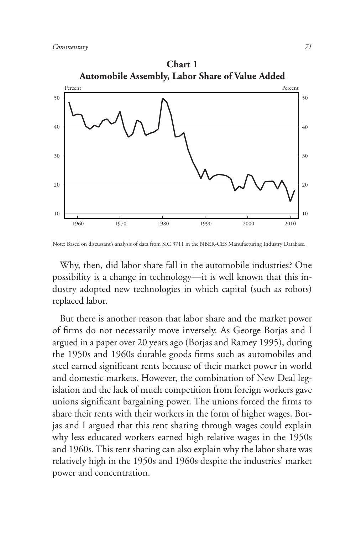

**Chart 1 Automobile Assembly, Labor Share of Value Added**

Note: Based on discussant's analysis of data from SIC 3711 in the NBER-CES Manufacturing Industry Database.

Why, then, did labor share fall in the automobile industries? One possibility is a change in technology—it is well known that this industry adopted new technologies in which capital (such as robots) replaced labor.

But there is another reason that labor share and the market power of firms do not necessarily move inversely. As George Borjas and I argued in a paper over 20 years ago (Borjas and Ramey 1995), during the 1950s and 1960s durable goods firms such as automobiles and steel earned significant rents because of their market power in world and domestic markets. However, the combination of New Deal legislation and the lack of much competition from foreign workers gave unions significant bargaining power. The unions forced the firms to share their rents with their workers in the form of higher wages. Borjas and I argued that this rent sharing through wages could explain why less educated workers earned high relative wages in the 1950s and 1960s. This rent sharing can also explain why the labor share was relatively high in the 1950s and 1960s despite the industries' market power and concentration.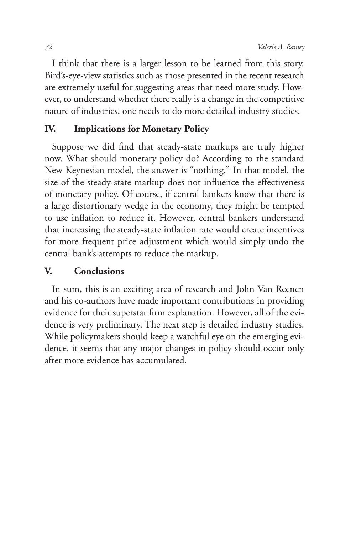I think that there is a larger lesson to be learned from this story. Bird's-eye-view statistics such as those presented in the recent research are extremely useful for suggesting areas that need more study. However, to understand whether there really is a change in the competitive nature of industries, one needs to do more detailed industry studies.

## **IV. Implications for Monetary Policy**

Suppose we did find that steady-state markups are truly higher now. What should monetary policy do? According to the standard New Keynesian model, the answer is "nothing." In that model, the size of the steady-state markup does not influence the effectiveness of monetary policy. Of course, if central bankers know that there is a large distortionary wedge in the economy, they might be tempted to use inflation to reduce it. However, central bankers understand that increasing the steady-state inflation rate would create incentives for more frequent price adjustment which would simply undo the central bank's attempts to reduce the markup.

## **V. Conclusions**

In sum, this is an exciting area of research and John Van Reenen and his co-authors have made important contributions in providing evidence for their superstar firm explanation. However, all of the evidence is very preliminary. The next step is detailed industry studies. While policymakers should keep a watchful eye on the emerging evidence, it seems that any major changes in policy should occur only after more evidence has accumulated.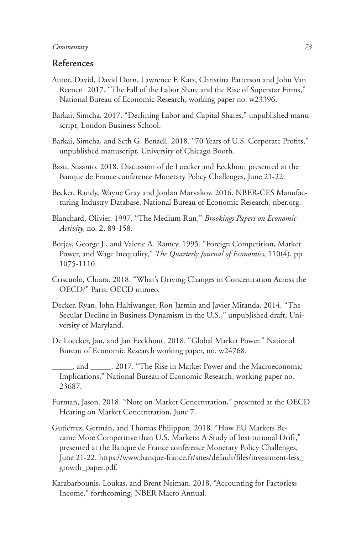#### *Commentary 73*

### **References**

- Autor, David, David Dorn, Lawrence F. Katz, Christina Patterson and John Van Reenen. 2017. "The Fall of the Labor Share and the Rise of Superstar Firms," National Bureau of Economic Research, working paper no. w23396.
- Barkai, Simcha. 2017. "Declining Labor and Capital Shares," unpublished manuscript, London Business School.
- Barkai, Simcha, and Seth G. Benzell. 2018. "70 Years of U.S. Corporate Profits," unpublished manuscript, University of Chicago Booth.
- Basu, Susanto. 2018. Discussion of de Loecker and Eeckhout presented at the Banque de France conference Monetary Policy Challenges, June 21-22.
- Becker, Randy, Wayne Gray and Jordan Marvakov. 2016. NBER-CES Manufacturing Industry Database. National Bureau of Economic Research, nber.org.
- Blanchard, Olivier. 1997. "The Medium Run," *Brookings Papers on Economic Activity*, no. 2, 89-158.
- Borjas, George J., and Valerie A. Ramey. 1995. "Foreign Competition, Market Power, and Wage Inequality," *The Quarterly Journal of Economics*, 110(4), pp. 1075-1110.
- Criscuolo, Chiara. 2018. "What's Driving Changes in Concentration Across the OECD?" Paris: OECD mimeo.
- Decker, Ryan, John Haltiwanger, Ron Jarmin and Javier Miranda. 2014. "The Secular Decline in Business Dynamism in the U.S.," unpublished draft, University of Maryland.
- De Loecker, Jan, and Jan Eeckhout. 2018. "Global Market Power." National Bureau of Economic Research working paper, no. w24768.
- \_\_\_\_\_, and \_\_\_\_\_. 2017. "The Rise in Market Power and the Macroeconomic Implications," National Bureau of Economic Research, working paper no. 23687.
- Furman, Jason. 2018. "Note on Market Concentration," presented at the OECD Hearing on Market Concentration, June 7.
- Gutierrez, Germán, and Thomas Philippon. 2018. "How EU Markets Became More Competitive than U.S. Markets: A Study of Institutional Drift," presented at the Banque de France conference Monetary Policy Challenges, June 21-22. https://www.banque-france.fr/sites/default/files/investment-less\_ growth\_paper.pdf.
- Karabarbounis, Loukas, and Brent Neiman. 2018. "Accounting for Factorless Income," forthcoming, NBER Macro Annual.